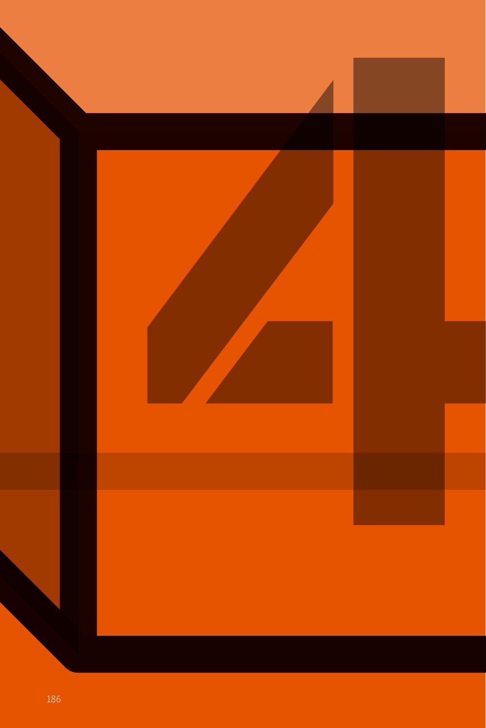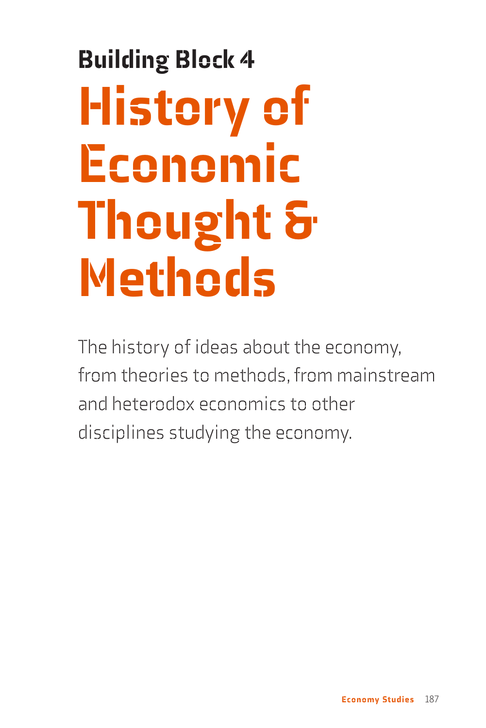# Building Block 4 **History of** Economic Thought & Methods

The history of ideas about the economy, from theories to methods, from mainstream and heterodox economics to other disciplines studying the economy.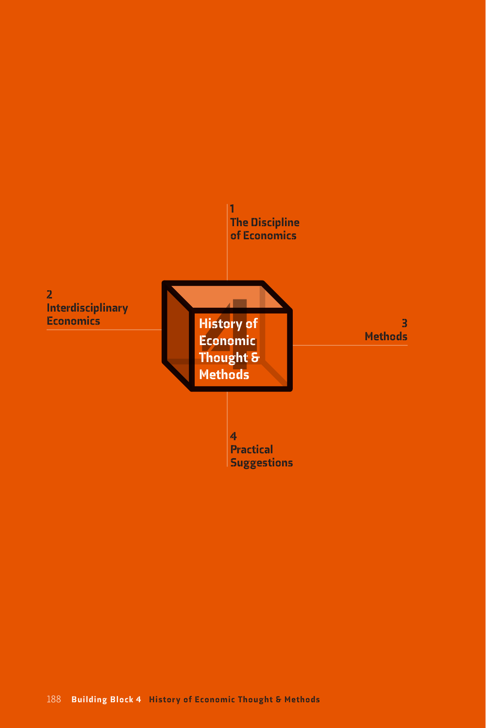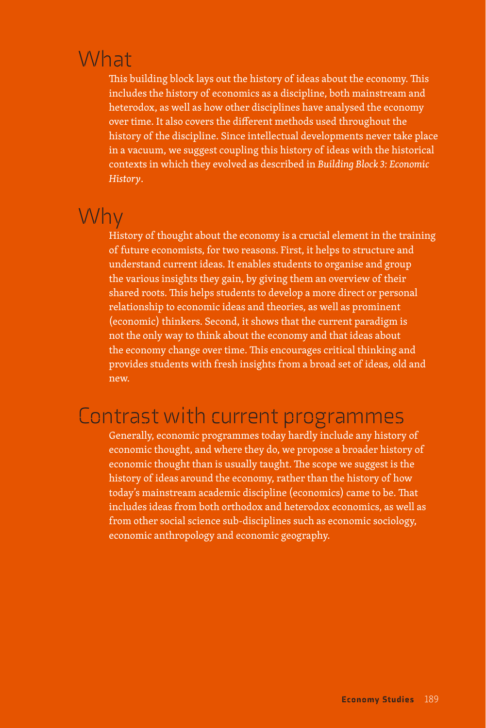### What

This building block lays out the history of ideas about the economy. This includes the history of economics as a discipline, both mainstream and heterodox, as well as how other disciplines have analysed the economy over time. It also covers the different methods used throughout the history of the discipline. Since intellectual developments never take place in a vacuum, we suggest coupling this history of ideas with the historical contexts in which they evolved as described in *Building Block 3: Economic History*.

#### Why

History of thought about the economy is a crucial element in the training of future economists, for two reasons. First, it helps to structure and understand current ideas. It enables students to organise and group the various insights they gain, by giving them an overview of their shared roots. This helps students to develop a more direct or personal relationship to economic ideas and theories, as well as prominent (economic) thinkers. Second, it shows that the current paradigm is not the only way to think about the economy and that ideas about the economy change over time. This encourages critical thinking and provides students with fresh insights from a broad set of ideas, old and new.

#### Contrast with current programmes

Generally, economic programmes today hardly include any history of economic thought, and where they do, we propose a broader history of economic thought than is usually taught. The scope we suggest is the history of ideas around the economy, rather than the history of how today's mainstream academic discipline (economics) came to be. That includes ideas from both orthodox and heterodox economics, as well as from other social science sub-disciplines such as economic sociology, economic anthropology and economic geography.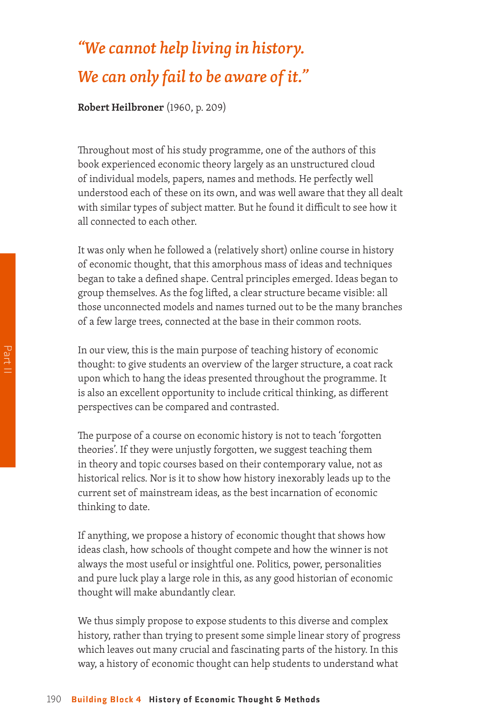## *"We cannot help living in history. We can only fail to be aware of it."*

**Robert Heilbroner** (1960, p. 209)

Throughout most of his study programme, one of the authors of this book experienced economic theory largely as an unstructured cloud of individual models, papers, names and methods. He perfectly well understood each of these on its own, and was well aware that they all dealt with similar types of subject matter. But he found it difficult to see how it all connected to each other.

It was only when he followed a (relatively short) online course in history of economic thought, that this amorphous mass of ideas and techniques began to take a defined shape. Central principles emerged. Ideas began to group themselves. As the fog lifted, a clear structure became visible: all those unconnected models and names turned out to be the many branches of a few large trees, connected at the base in their common roots.

In our view, this is the main purpose of teaching history of economic thought: to give students an overview of the larger structure, a coat rack upon which to hang the ideas presented throughout the programme. It is also an excellent opportunity to include critical thinking, as different perspectives can be compared and contrasted.

The purpose of a course on economic history is not to teach 'forgotten theories'. If they were unjustly forgotten, we suggest teaching them in theory and topic courses based on their contemporary value, not as historical relics. Nor is it to show how history inexorably leads up to the current set of mainstream ideas, as the best incarnation of economic thinking to date.

If anything, we propose a history of economic thought that shows how ideas clash, how schools of thought compete and how the winner is not always the most useful or insightful one. Politics, power, personalities and pure luck play a large role in this, as any good historian of economic thought will make abundantly clear.

We thus simply propose to expose students to this diverse and complex history, rather than trying to present some simple linear story of progress which leaves out many crucial and fascinating parts of the history. In this way, a history of economic thought can help students to understand what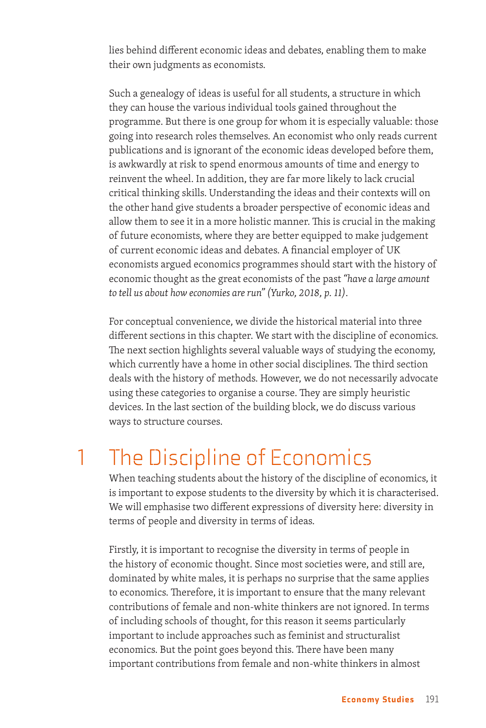lies behind different economic ideas and debates, enabling them to make their own judgments as economists.

Such a genealogy of ideas is useful for all students, a structure in which they can house the various individual tools gained throughout the programme. But there is one group for whom it is especially valuable: those going into research roles themselves. An economist who only reads current publications and is ignorant of the economic ideas developed before them, is awkwardly at risk to spend enormous amounts of time and energy to reinvent the wheel. In addition, they are far more likely to lack crucial critical thinking skills. Understanding the ideas and their contexts will on the other hand give students a broader perspective of economic ideas and allow them to see it in a more holistic manner. This is crucial in the making of future economists, where they are better equipped to make judgement of current economic ideas and debates. A financial employer of UK economists argued economics programmes should start with the history of economic thought as the great economists of the past *"have a large amount to tell us about how economies are run" (Yurko, 2018, p. 11)*.

For conceptual convenience, we divide the historical material into three different sections in this chapter. We start with the discipline of economics. The next section highlights several valuable ways of studying the economy, which currently have a home in other social disciplines. The third section deals with the history of methods. However, we do not necessarily advocate using these categories to organise a course. They are simply heuristic devices. In the last section of the building block, we do discuss various ways to structure courses.

# 1 The Discipline of Economics

When teaching students about the history of the discipline of economics, it is important to expose students to the diversity by which it is characterised. We will emphasise two different expressions of diversity here: diversity in terms of people and diversity in terms of ideas.

Firstly, it is important to recognise the diversity in terms of people in the history of economic thought. Since most societies were, and still are, dominated by white males, it is perhaps no surprise that the same applies to economics. Therefore, it is important to ensure that the many relevant contributions of female and non-white thinkers are not ignored. In terms of including schools of thought, for this reason it seems particularly important to include approaches such as feminist and structuralist economics. But the point goes beyond this. There have been many important contributions from female and non-white thinkers in almost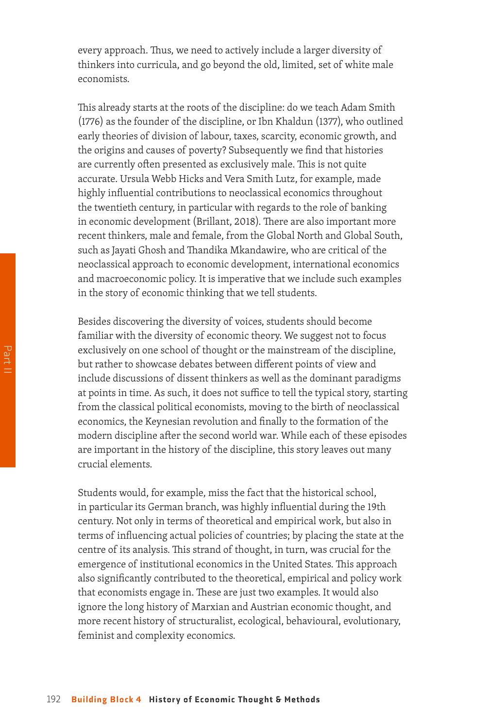every approach. Thus, we need to actively include a larger diversity of thinkers into curricula, and go beyond the old, limited, set of white male economists.

This already starts at the roots of the discipline: do we teach Adam Smith (1776) as the founder of the discipline, or Ibn Khaldun (1377), who outlined early theories of division of labour, taxes, scarcity, economic growth, and the origins and causes of poverty? Subsequently we find that histories are currently often presented as exclusively male. This is not quite accurate. Ursula Webb Hicks and Vera Smith Lutz, for example, made highly influential contributions to neoclassical economics throughout the twentieth century, in particular with regards to the role of banking in economic development (Brillant, 2018). There are also important more recent thinkers, male and female, from the Global North and Global South, such as Jayati Ghosh and Thandika Mkandawire, who are critical of the neoclassical approach to economic development, international economics and macroeconomic policy. It is imperative that we include such examples in the story of economic thinking that we tell students.

Besides discovering the diversity of voices, students should become familiar with the diversity of economic theory. We suggest not to focus exclusively on one school of thought or the mainstream of the discipline, but rather to showcase debates between different points of view and include discussions of dissent thinkers as well as the dominant paradigms at points in time. As such, it does not suffice to tell the typical story, starting from the classical political economists, moving to the birth of neoclassical economics, the Keynesian revolution and finally to the formation of the modern discipline after the second world war. While each of these episodes are important in the history of the discipline, this story leaves out many crucial elements.

Students would, for example, miss the fact that the historical school, in particular its German branch, was highly influential during the 19th century. Not only in terms of theoretical and empirical work, but also in terms of influencing actual policies of countries; by placing the state at the centre of its analysis. This strand of thought, in turn, was crucial for the emergence of institutional economics in the United States. This approach also significantly contributed to the theoretical, empirical and policy work that economists engage in. These are just two examples. It would also ignore the long history of Marxian and Austrian economic thought, and more recent history of structuralist, ecological, behavioural, evolutionary, feminist and complexity economics.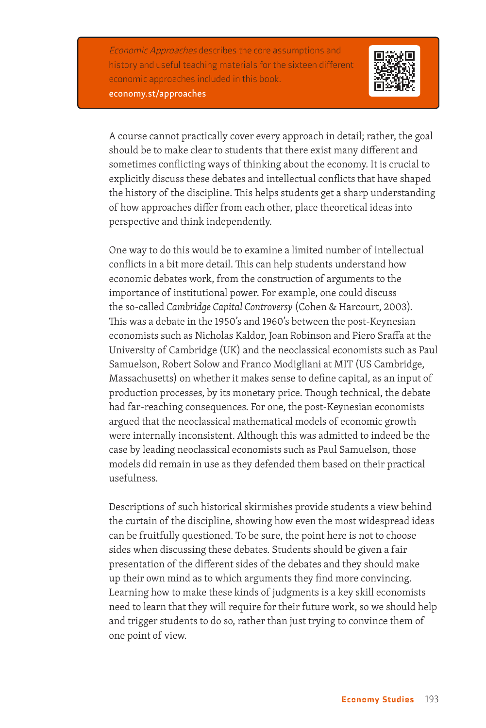Economic Approaches describes the core assumptions and history and useful teaching materials for the sixteen different economic approaches included in this book. economy.st/approaches



A course cannot practically cover every approach in detail; rather, the goal should be to make clear to students that there exist many different and sometimes conflicting ways of thinking about the economy. It is crucial to explicitly discuss these debates and intellectual conflicts that have shaped the history of the discipline. This helps students get a sharp understanding of how approaches differ from each other, place theoretical ideas into perspective and think independently.

One way to do this would be to examine a limited number of intellectual conflicts in a bit more detail. This can help students understand how economic debates work, from the construction of arguments to the importance of institutional power. For example, one could discuss the so-called *Cambridge Capital Controversy* (Cohen & Harcourt, 2003). This was a debate in the 1950's and 1960's between the post-Keynesian economists such as Nicholas Kaldor, Joan Robinson and Piero Sraffa at the University of Cambridge (UK) and the neoclassical economists such as Paul Samuelson, Robert Solow and Franco Modigliani at MIT (US Cambridge, Massachusetts) on whether it makes sense to define capital, as an input of production processes, by its monetary price. Though technical, the debate had far-reaching consequences. For one, the post-Keynesian economists argued that the neoclassical mathematical models of economic growth were internally inconsistent. Although this was admitted to indeed be the case by leading neoclassical economists such as Paul Samuelson, those models did remain in use as they defended them based on their practical usefulness.

Descriptions of such historical skirmishes provide students a view behind the curtain of the discipline, showing how even the most widespread ideas can be fruitfully questioned. To be sure, the point here is not to choose sides when discussing these debates. Students should be given a fair presentation of the different sides of the debates and they should make up their own mind as to which arguments they find more convincing. Learning how to make these kinds of judgments is a key skill economists need to learn that they will require for their future work, so we should help and trigger students to do so, rather than just trying to convince them of one point of view.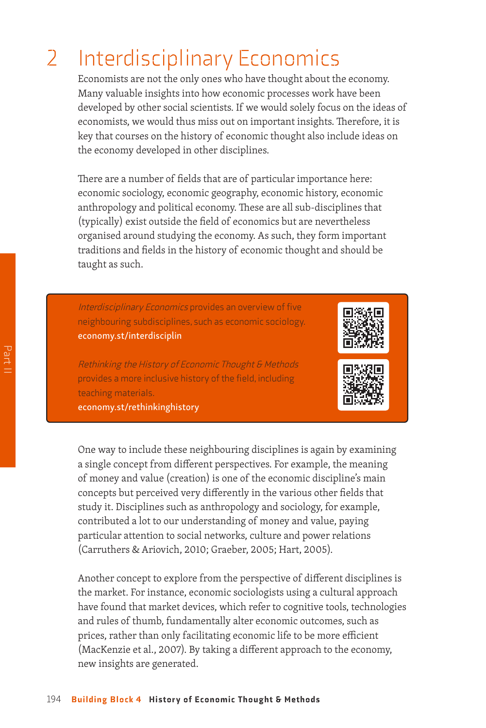## 2 Interdisciplinary Economics

Economists are not the only ones who have thought about the economy. Many valuable insights into how economic processes work have been developed by other social scientists. If we would solely focus on the ideas of economists, we would thus miss out on important insights. Therefore, it is key that courses on the history of economic thought also include ideas on the economy developed in other disciplines.

There are a number of fields that are of particular importance here: economic sociology, economic geography, economic history, economic anthropology and political economy. These are all sub-disciplines that (typically) exist outside the field of economics but are nevertheless organised around studying the economy. As such, they form important traditions and fields in the history of economic thought and should be taught as such.

Interdisciplinary Economics provides an overview of five neighbouring subdisciplines, such as economic sociology. economy.st/interdisciplin



Rethinking the History of Economic Thought & Methods provides a more inclusive history of the field, including teaching materials.

economy.st/rethinkinghistory



One way to include these neighbouring disciplines is again by examining a single concept from different perspectives. For example, the meaning of money and value (creation) is one of the economic discipline's main concepts but perceived very differently in the various other fields that study it. Disciplines such as anthropology and sociology, for example, contributed a lot to our understanding of money and value, paying particular attention to social networks, culture and power relations (Carruthers & Ariovich, 2010; Graeber, 2005; Hart, 2005).

Another concept to explore from the perspective of different disciplines is the market. For instance, economic sociologists using a cultural approach have found that market devices, which refer to cognitive tools, technologies and rules of thumb, fundamentally alter economic outcomes, such as prices, rather than only facilitating economic life to be more efficient (MacKenzie et al., 2007). By taking a different approach to the economy, new insights are generated.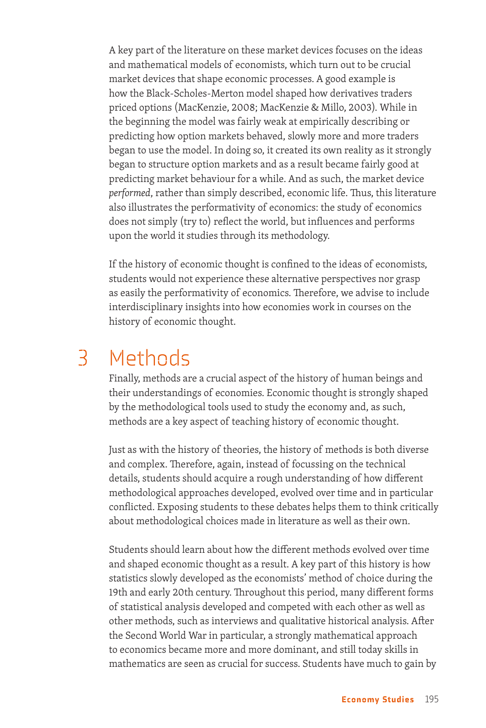A key part of the literature on these market devices focuses on the ideas and mathematical models of economists, which turn out to be crucial market devices that shape economic processes. A good example is how the Black-Scholes-Merton model shaped how derivatives traders priced options (MacKenzie, 2008; MacKenzie & Millo, 2003). While in the beginning the model was fairly weak at empirically describing or predicting how option markets behaved, slowly more and more traders began to use the model. In doing so, it created its own reality as it strongly began to structure option markets and as a result became fairly good at predicting market behaviour for a while. And as such, the market device *performed*, rather than simply described, economic life. Thus, this literature also illustrates the performativity of economics: the study of economics does not simply (try to) reflect the world, but influences and performs upon the world it studies through its methodology.

If the history of economic thought is confined to the ideas of economists, students would not experience these alternative perspectives nor grasp as easily the performativity of economics. Therefore, we advise to include interdisciplinary insights into how economies work in courses on the history of economic thought.

#### 3 Methods

Finally, methods are a crucial aspect of the history of human beings and their understandings of economies. Economic thought is strongly shaped by the methodological tools used to study the economy and, as such, methods are a key aspect of teaching history of economic thought.

Just as with the history of theories, the history of methods is both diverse and complex. Therefore, again, instead of focussing on the technical details, students should acquire a rough understanding of how different methodological approaches developed, evolved over time and in particular conflicted. Exposing students to these debates helps them to think critically about methodological choices made in literature as well as their own.

Students should learn about how the different methods evolved over time and shaped economic thought as a result. A key part of this history is how statistics slowly developed as the economists' method of choice during the 19th and early 20th century. Throughout this period, many different forms of statistical analysis developed and competed with each other as well as other methods, such as interviews and qualitative historical analysis. After the Second World War in particular, a strongly mathematical approach to economics became more and more dominant, and still today skills in mathematics are seen as crucial for success. Students have much to gain by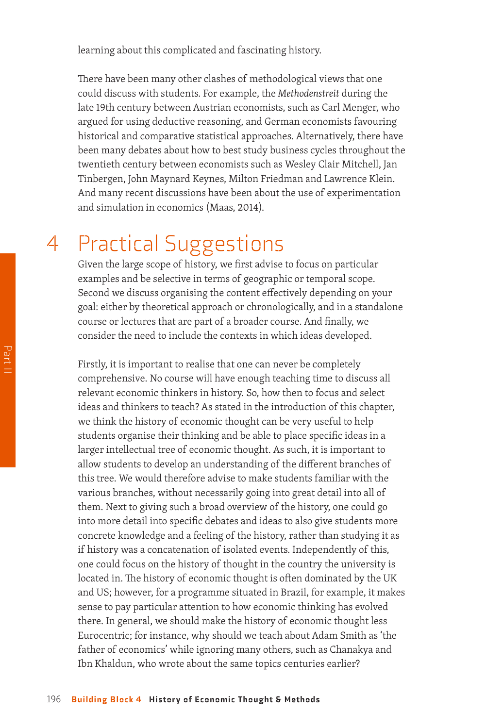learning about this complicated and fascinating history.

There have been many other clashes of methodological views that one could discuss with students. For example, the *Methodenstreit* during the late 19th century between Austrian economists, such as Carl Menger, who argued for using deductive reasoning, and German economists favouring historical and comparative statistical approaches. Alternatively, there have been many debates about how to best study business cycles throughout the twentieth century between economists such as Wesley Clair Mitchell, Jan Tinbergen, John Maynard Keynes, Milton Friedman and Lawrence Klein. And many recent discussions have been about the use of experimentation and simulation in economics (Maas, 2014).

## 4 Practical Suggestions

Given the large scope of history, we first advise to focus on particular examples and be selective in terms of geographic or temporal scope. Second we discuss organising the content effectively depending on your goal: either by theoretical approach or chronologically, and in a standalone course or lectures that are part of a broader course. And finally, we consider the need to include the contexts in which ideas developed.

Firstly, it is important to realise that one can never be completely comprehensive. No course will have enough teaching time to discuss all relevant economic thinkers in history. So, how then to focus and select ideas and thinkers to teach? As stated in the introduction of this chapter, we think the history of economic thought can be very useful to help students organise their thinking and be able to place specific ideas in a larger intellectual tree of economic thought. As such, it is important to allow students to develop an understanding of the different branches of this tree. We would therefore advise to make students familiar with the various branches, without necessarily going into great detail into all of them. Next to giving such a broad overview of the history, one could go into more detail into specific debates and ideas to also give students more concrete knowledge and a feeling of the history, rather than studying it as if history was a concatenation of isolated events. Independently of this, one could focus on the history of thought in the country the university is located in. The history of economic thought is often dominated by the UK and US; however, for a programme situated in Brazil, for example, it makes sense to pay particular attention to how economic thinking has evolved there. In general, we should make the history of economic thought less Eurocentric; for instance, why should we teach about Adam Smith as 'the father of economics' while ignoring many others, such as Chanakya and Ibn Khaldun, who wrote about the same topics centuries earlier?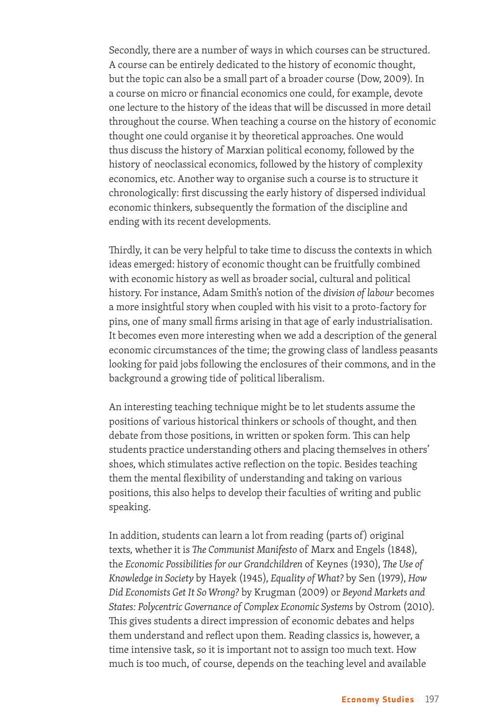Secondly, there are a number of ways in which courses can be structured. A course can be entirely dedicated to the history of economic thought, but the topic can also be a small part of a broader course (Dow, 2009). In a course on micro or financial economics one could, for example, devote one lecture to the history of the ideas that will be discussed in more detail throughout the course. When teaching a course on the history of economic thought one could organise it by theoretical approaches. One would thus discuss the history of Marxian political economy, followed by the history of neoclassical economics, followed by the history of complexity economics, etc. Another way to organise such a course is to structure it chronologically: first discussing the early history of dispersed individual economic thinkers, subsequently the formation of the discipline and ending with its recent developments.

Thirdly, it can be very helpful to take time to discuss the contexts in which ideas emerged: history of economic thought can be fruitfully combined with economic history as well as broader social, cultural and political history. For instance, Adam Smith's notion of the *division of labour* becomes a more insightful story when coupled with his visit to a proto-factory for pins, one of many small firms arising in that age of early industrialisation. It becomes even more interesting when we add a description of the general economic circumstances of the time; the growing class of landless peasants looking for paid jobs following the enclosures of their commons, and in the background a growing tide of political liberalism.

An interesting teaching technique might be to let students assume the positions of various historical thinkers or schools of thought, and then debate from those positions, in written or spoken form. This can help students practice understanding others and placing themselves in others' shoes, which stimulates active reflection on the topic. Besides teaching them the mental flexibility of understanding and taking on various positions, this also helps to develop their faculties of writing and public speaking.

In addition, students can learn a lot from reading (parts of) original texts, whether it is *The Communist Manifesto* of Marx and Engels (1848), the *Economic Possibilities for our Grandchildren* of Keynes (1930), *The Use of Knowledge in Society* by Hayek (1945), *Equality of What?* by Sen (1979), *How Did Economists Get It So Wrong?* by Krugman (2009) or *Beyond Markets and States: Polycentric Governance of Complex Economic Systems* by Ostrom (2010). This gives students a direct impression of economic debates and helps them understand and reflect upon them. Reading classics is, however, a time intensive task, so it is important not to assign too much text. How much is too much, of course, depends on the teaching level and available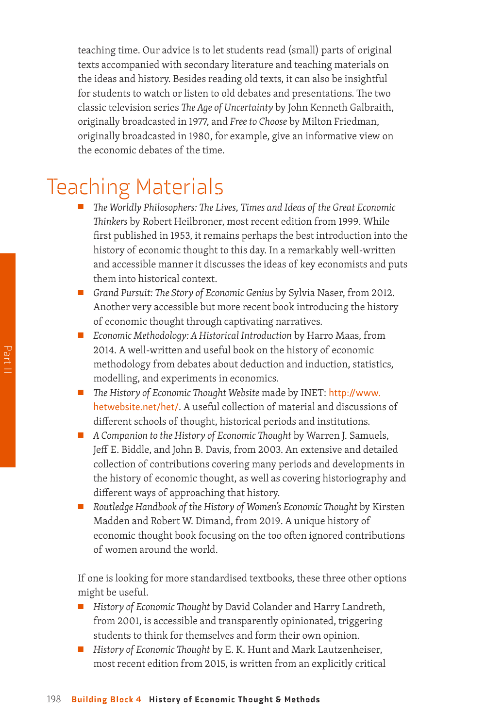teaching time. Our advice is to let students read (small) parts of original texts accompanied with secondary literature and teaching materials on the ideas and history. Besides reading old texts, it can also be insightful for students to watch or listen to old debates and presentations. The two classic television series *The Age of Uncertainty* by John Kenneth Galbraith, originally broadcasted in 1977, and *Free to Choose* by Milton Friedman, originally broadcasted in 1980, for example, give an informative view on the economic debates of the time.

## Teaching Materials

- The Worldly Philosophers: The Lives, Times and Ideas of the Great Economic *Thinkers* by Robert Heilbroner, most recent edition from 1999. While first published in 1953, it remains perhaps the best introduction into the history of economic thought to this day. In a remarkably well-written and accessible manner it discusses the ideas of key economists and puts them into historical context.
- *Grand Pursuit: The Story of Economic Genius* by Sylvia Naser, from 2012. Another very accessible but more recent book introducing the history of economic thought through captivating narratives.
- *Economic Methodology: A Historical Introduction* by Harro Maas, from 2014. A well-written and useful book on the history of economic methodology from debates about deduction and induction, statistics, modelling, and experiments in economics.
- *The History of Economic Thought Website* made by INET: [http://www.](http://www.hetwebsite.net/het/) [hetwebsite.net/het/](http://www.hetwebsite.net/het/). A useful collection of material and discussions of different schools of thought, historical periods and institutions.
- *A Companion to the History of Economic Thought* by Warren J. Samuels, Jeff E. Biddle, and John B. Davis, from 2003. An extensive and detailed collection of contributions covering many periods and developments in the history of economic thought, as well as covering historiography and different ways of approaching that history.
- *Routledge Handbook of the History of Women's Economic Thought by Kirsten* Madden and Robert W. Dimand, from 2019. A unique history of economic thought book focusing on the too often ignored contributions of women around the world.

If one is looking for more standardised textbooks, these three other options might be useful.

- *History of Economic Thought* by David Colander and Harry Landreth, from 2001, is accessible and transparently opinionated, triggering students to think for themselves and form their own opinion.
- *History of Economic Thought* by E. K. Hunt and Mark Lautzenheiser, most recent edition from 2015, is written from an explicitly critical